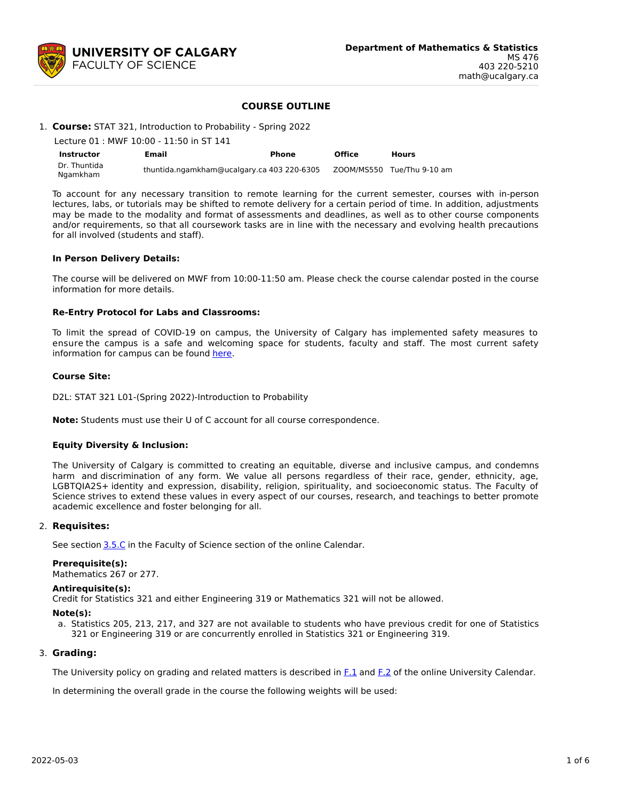

## **COURSE OUTLINE**

## 1. **Course:** STAT 321, Introduction to Probability - Spring 2022

|                          | Lecture 01 : MWF 10:00 - 11:50 in ST 141   |       |               |                            |  |  |  |  |  |
|--------------------------|--------------------------------------------|-------|---------------|----------------------------|--|--|--|--|--|
| <b>Instructor</b>        | Email                                      | Phone | <b>Office</b> | <b>Hours</b>               |  |  |  |  |  |
| Dr. Thuntida<br>Ngamkham | thuntida.ngamkham@ucalgary.ca 403 220-6305 |       |               | ZOOM/MS550 Tue/Thu 9-10 am |  |  |  |  |  |

To account for any necessary transition to remote learning for the current semester, courses with in-person lectures, labs, or tutorials may be shifted to remote delivery for a certain period of time. In addition, adjustments may be made to the modality and format of assessments and deadlines, as well as to other course components and/or requirements, so that all coursework tasks are in line with the necessary and evolving health precautions for all involved (students and staff).

#### **In Person Delivery Details:**

The course will be delivered on MWF from 10:00-11:50 am. Please check the course calendar posted in the course information for more details.

### **Re-Entry Protocol for Labs and Classrooms:**

To limit the spread of COVID-19 on campus, the University of Calgary has implemented safety measures to ensure the campus is a safe and welcoming space for students, faculty and staff. The most current safety information for campus can be found [here](https://www.ucalgary.ca/risk/emergency-management/covid-19-response/return-campus-safety).

#### **Course Site:**

D2L: STAT 321 L01-(Spring 2022)-Introduction to Probability

**Note:** Students must use their U of C account for all course correspondence.

### **Equity Diversity & Inclusion:**

The University of Calgary is committed to creating an equitable, diverse and inclusive campus, and condemns harm and discrimination of any form. We value all persons regardless of their race, gender, ethnicity, age, LGBTQIA2S+ identity and expression, disability, religion, spirituality, and socioeconomic status. The Faculty of Science strives to extend these values in every aspect of our courses, research, and teachings to better promote academic excellence and foster belonging for all.

#### 2. **Requisites:**

See section [3.5.C](http://www.ucalgary.ca/pubs/calendar/current/sc-3-5.html) in the Faculty of Science section of the online Calendar.

#### **Prerequisite(s):**

Mathematics 267 or 277.

#### **Antirequisite(s):**

Credit for Statistics 321 and either Engineering 319 or Mathematics 321 will not be allowed.

#### **Note(s):**

a. Statistics 205, 213, 217, and 327 are not available to students who have previous credit for one of Statistics 321 or Engineering 319 or are concurrently enrolled in Statistics 321 or Engineering 319.

#### 3. **Grading:**

The University policy on grading and related matters is described in [F.1](http://www.ucalgary.ca/pubs/calendar/current/f-1.html) and [F.2](http://www.ucalgary.ca/pubs/calendar/current/f-2.html) of the online University Calendar.

In determining the overall grade in the course the following weights will be used: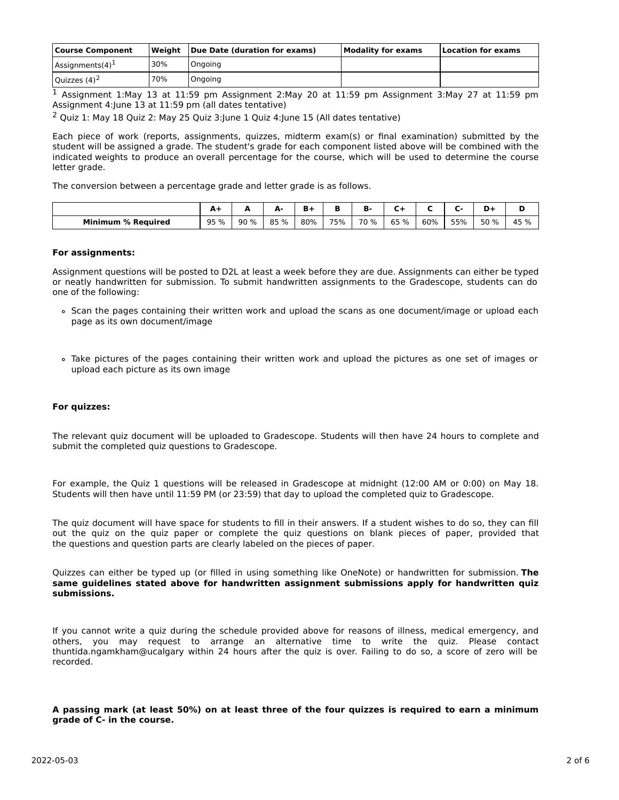| <b>Course Component</b>   |     | Weight Due Date (duration for exams) | <b>Modality for exams</b> | Location for exams |  |  |
|---------------------------|-----|--------------------------------------|---------------------------|--------------------|--|--|
| Assignments $(4)^{\perp}$ | 30% | Ongoing                              |                           |                    |  |  |
| Quizzes $(4)^2$           | 70% | Ongoing                              |                           |                    |  |  |

<sup>1</sup> Assignment 1:May 13 at 11:59 pm Assignment 2:May 20 at 11:59 pm Assignment 3:May 27 at 11:59 pm Assignment 4:June 13 at 11:59 pm (all dates tentative)

<sup>2</sup> Ouiz 1: May 18 Quiz 2: May 25 Quiz 3: June 1 Quiz 4: June 15 (All dates tentative)

Each piece of work (reports, assignments, quizzes, midterm exam(s) or final examination) submitted by the student will be assigned a grade. The student's grade for each component listed above will be combined with the indicated weights to produce an overall percentage for the course, which will be used to determine the course letter grade.

The conversion between a percentage grade and letter grade is as follows.

|                           | <b>. .</b> |     | . .  | п.  |     | в.   |      |     |     | -    |      |
|---------------------------|------------|-----|------|-----|-----|------|------|-----|-----|------|------|
| <b>Minimum % Required</b> | 95 %       | 90% | 85 % | 80% | 75% | 70 % | 65 % | 60% | 55% | 50 % | 45 % |

## **For assignments:**

Assignment questions will be posted to D2L at least a week before they are due. Assignments can either be typed or neatly handwritten for submission. To submit handwritten assignments to the Gradescope, students can do one of the following:

- Scan the pages containing their written work and upload the scans as one document/image or upload each page as its own document/image
- Take pictures of the pages containing their written work and upload the pictures as one set of images or upload each picture as its own image

### **For quizzes:**

The relevant quiz document will be uploaded to Gradescope. Students will then have 24 hours to complete and submit the completed quiz questions to Gradescope.

For example, the Quiz 1 questions will be released in Gradescope at midnight (12:00 AM or 0:00) on May 18. Students will then have until 11:59 PM (or 23:59) that day to upload the completed quiz to Gradescope.

The quiz document will have space for students to fill in their answers. If a student wishes to do so, they can fill out the quiz on the quiz paper or complete the quiz questions on blank pieces of paper, provided that the questions and question parts are clearly labeled on the pieces of paper.

Quizzes can either be typed up (or filled in using something like OneNote) or handwritten for submission. **The same guidelines stated above for handwritten assignment submissions apply for handwritten quiz submissions.**

If you cannot write a quiz during the schedule provided above for reasons of illness, medical emergency, and others, you may request to arrange an alternative time to write the quiz. Please contact thuntida.ngamkham@ucalgary within 24 hours after the quiz is over. Failing to do so, a score of zero will be recorded.

## A passing mark (at least 50%) on at least three of the four quizzes is required to earn a minimum **grade of C- in the course.**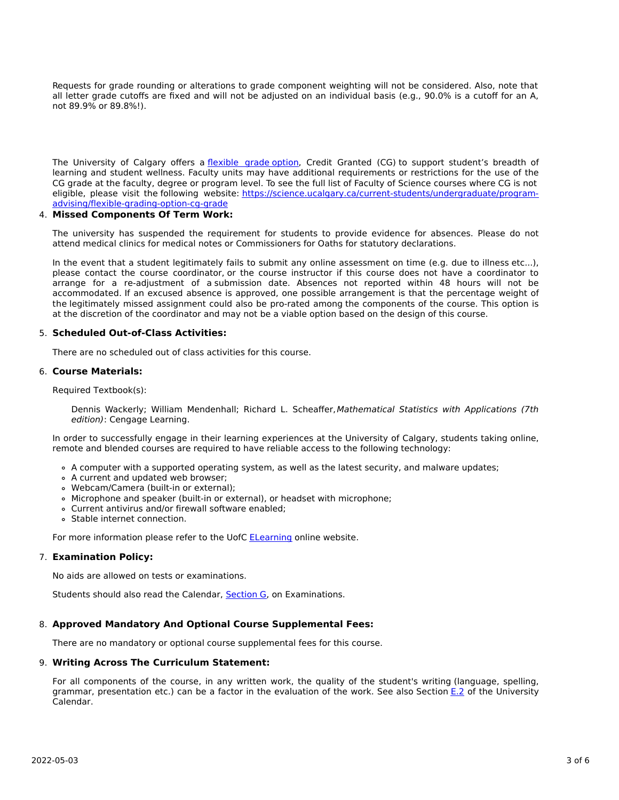Requests for grade rounding or alterations to grade component weighting will not be considered. Also, note that all letter grade cutoffs are fixed and will not be adjusted on an individual basis (e.g., 90.0% is a cutoff for an A, not 89.9% or 89.8%!).

The University of Calgary offers a [flexible](https://www.ucalgary.ca/pubs/calendar/current/f-1-3.html) grade option, Credit Granted (CG) to support student's breadth of learning and student wellness. Faculty units may have additional requirements or restrictions for the use of the CG grade at the faculty, degree or program level. To see the full list of Faculty of Science courses where CG is not eligible, please visit the following website: [https://science.ucalgary.ca/current-students/undergraduate/program](https://science.ucalgary.ca/current-students/undergraduate/program-advising/flexible-grading-option-cg-grade)advising/flexible-grading-option-cg-grade

## 4. **Missed Components Of Term Work:**

The university has suspended the requirement for students to provide evidence for absences. Please do not attend medical clinics for medical notes or Commissioners for Oaths for statutory declarations.

In the event that a student legitimately fails to submit any online assessment on time (e.g. due to illness etc...), please contact the course coordinator, or the course instructor if this course does not have a coordinator to arrange for a re-adjustment of a submission date. Absences not reported within 48 hours will not be accommodated. If an excused absence is approved, one possible arrangement is that the percentage weight of the legitimately missed assignment could also be pro-rated among the components of the course. This option is at the discretion of the coordinator and may not be a viable option based on the design of this course.

## 5. **Scheduled Out-of-Class Activities:**

There are no scheduled out of class activities for this course.

# 6. **Course Materials:**

Required Textbook(s):

Dennis Wackerly; William Mendenhall; Richard L. Scheaffer, Mathematical Statistics with Applications (7th edition): Cengage Learning.

In order to successfully engage in their learning experiences at the University of Calgary, students taking online, remote and blended courses are required to have reliable access to the following technology:

- A computer with a supported operating system, as well as the latest security, and malware updates;
- A current and updated web browser;
- Webcam/Camera (built-in or external);
- o Microphone and speaker (built-in or external), or headset with microphone;
- Current antivirus and/or firewall software enabled;
- Stable internet connection.

For more information please refer to the UofC **[ELearning](https://elearn.ucalgary.ca/technology-requirements-for-students)** online website.

# 7. **Examination Policy:**

No aids are allowed on tests or examinations.

Students should also read the Calendar, [Section](http://www.ucalgary.ca/pubs/calendar/current/g.html) G, on Examinations.

# 8. **Approved Mandatory And Optional Course Supplemental Fees:**

There are no mandatory or optional course supplemental fees for this course.

### 9. **Writing Across The Curriculum Statement:**

For all components of the course, in any written work, the quality of the student's writing (language, spelling, grammar, presentation etc.) can be a factor in the evaluation of the work. See also Section [E.2](http://www.ucalgary.ca/pubs/calendar/current/e-2.html) of the University Calendar.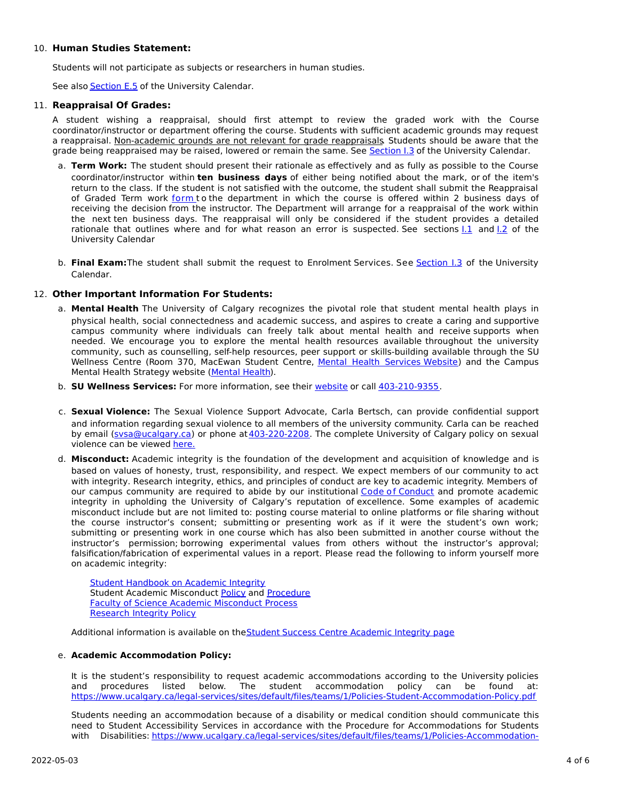# 10. **Human Studies Statement:**

Students will not participate as subjects or researchers in human studies.

See also [Section](http://www.ucalgary.ca/pubs/calendar/current/e-5.html) E.5 of the University Calendar.

# 11. **Reappraisal Of Grades:**

A student wishing a reappraisal, should first attempt to review the graded work with the Course coordinator/instructor or department offering the course. Students with sufficient academic grounds may request a reappraisal. Non-academic grounds are not relevant for grade reappraisals. Students should be aware that the grade being reappraised may be raised, lowered or remain the same. See [Section](http://www.ucalgary.ca/pubs/calendar/current/i-3.html) I.3 of the University Calendar.

- a. **Term Work:** The student should present their rationale as effectively and as fully as possible to the Course coordinator/instructor within **ten business days** of either being notified about the mark, or of the item's return to the class. If the student is not satisfied with the outcome, the student shall submit the Reappraisal of Graded Term work [form](https://science.ucalgary.ca/sites/default/files/teams/1/Reappraisal_Termwork_2021.pdf) to the department in which the course is offered within 2 business days of receiving the decision from the instructor. The Department will arrange for a reappraisal of the work within the next ten business days. The reappraisal will only be considered if the student provides a detailed rationale that outlines where and for what reason an error is suspected. See sections  $1.1$  and  $1.2$  of the University Calendar
- b. **Final Exam:**The student shall submit the request to Enrolment Services. See [Section](http://www.ucalgary.ca/pubs/calendar/current/i-3.html) I.3 of the University Calendar.

# 12. **Other Important Information For Students:**

- a. **Mental Health** The University of Calgary recognizes the pivotal role that student mental health plays in physical health, social connectedness and academic success, and aspires to create a caring and supportive campus community where individuals can freely talk about mental health and receive supports when needed. We encourage you to explore the mental health resources available throughout the university community, such as counselling, self-help resources, peer support or skills-building available through the SU Wellness Centre (Room 370, MacEwan Student Centre, Mental Health [Services](https://www.ucalgary.ca/wellnesscentre/services/mental-health-services) Website) and the Campus Mental Health Strategy website [\(Mental](http://www.ucalgary.ca/mentalhealth) Health).
- b. **SU Wellness Services:** For more information, see their [website](http://www.ucalgary.ca/wellnesscentre) or call [403-210-9355](tel:4032109355).
- c. **Sexual Violence:** The Sexual Violence Support Advocate, Carla Bertsch, can provide confidential support and information regarding sexual violence to all members of the university community. Carla can be reached by email [\(svsa@ucalgary.ca](mailto:svsa@ucalgary.ca)) or phone at [403-220-2208](tel:4032202208). The complete University of Calgary policy on sexual violence can be viewed [here.](https://www.ucalgary.ca/legal-services/sites/default/files/teams/1/Policies-Sexual-and-Gender-Based-Violence-Policy.pdf)
- d. **Misconduct:** Academic integrity is the foundation of the development and acquisition of knowledge and is based on values of honesty, trust, responsibility, and respect. We expect members of our community to act with integrity. Research integrity, ethics, and principles of conduct are key to academic integrity. Members of our campus community are required to abide by our institutional Code of [Conduct](https://www.ucalgary.ca/legal-services/sites/default/files/teams/1/Policies-Code-of-Conduct.pdf) and promote academic integrity in upholding the University of Calgary's reputation of excellence. Some examples of academic misconduct include but are not limited to: posting course material to online platforms or file sharing without the course instructor's consent; submitting or presenting work as if it were the student's own work; submitting or presenting work in one course which has also been submitted in another course without the instructor's permission; borrowing experimental values from others without the instructor's approval; falsification/fabrication of experimental values in a report. Please read the following to inform yourself more on academic integrity:

Student [Handbook](https://www.ucalgary.ca/live-uc-ucalgary-site/sites/default/files/teams/9/AI-Student-handbook-1.pdf) on Academic Integrity Student Academic Misconduct [Policy](https://www.ucalgary.ca/legal-services/sites/default/files/teams/1/Policies-Student-Academic-Misconduct-Policy.pdf) and [Procedure](https://www.ucalgary.ca/legal-services/sites/default/files/teams/1/Policies-Student-Academic-Misconduct-Procedure.pdf) Faculty of Science Academic [Misconduct](https://science.ucalgary.ca/current-students/undergraduate/program-advising) Process [Research](https://www.ucalgary.ca/legal-services/sites/default/files/teams/1/Policies-Research-Integrity-Policy.pdf) Integrity Policy

Additional information is available on the Student Success Centre [Academic](https://ucalgary.ca/student-services/student-success/learning/academic-integrity) Integrity page

# e. **Academic Accommodation Policy:**

It is the student's responsibility to request academic accommodations according to the University policies and procedures listed below. The student accommodation policy can be found at: <https://www.ucalgary.ca/legal-services/sites/default/files/teams/1/Policies-Student-Accommodation-Policy.pdf>

Students needing an accommodation because of a disability or medical condition should communicate this need to Student Accessibility Services in accordance with the Procedure for Accommodations for Students with Disabilities: [https://www.ucalgary.ca/legal-services/sites/default/files/teams/1/Policies-Accommodation-](https://www.ucalgary.ca/legal-services/sites/default/files/teams/1/Policies-Accommodation-for-Students-with-Disabilities-Procedure.pdf)